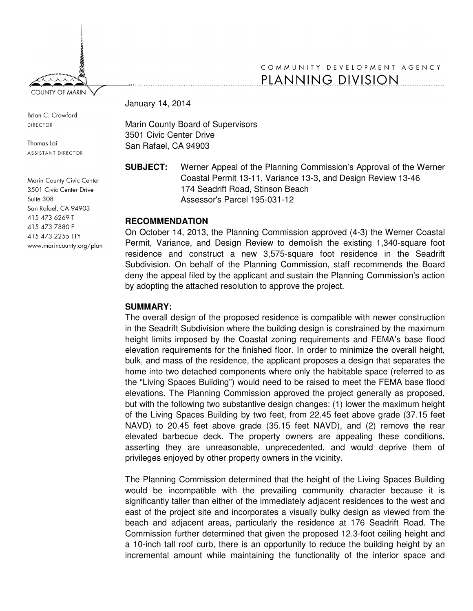

Brian C. Crawford **DIRECTOR** 

Thomas Lai ASSISTANT DIRECTOR

Marin County Civic Center 3501 Civic Center Drive Suite 308 San Rafael, CA 94903 415 473 6269 T 415 473 7880 F 415 473 2255 TTY www.marincounty.org/plan

# COMMUNITY DEVELOPMENT AGENCY PLANNING DIVISION

January 14, 2014

Marin County Board of Supervisors 3501 Civic Center Drive San Rafael, CA 94903

**SUBJECT:** Werner Appeal of the Planning Commission's Approval of the Werner Coastal Permit 13-11, Variance 13-3, and Design Review 13-46 174 Seadrift Road, Stinson Beach Assessor's Parcel 195-031-12

# **RECOMMENDATION**

On October 14, 2013, the Planning Commission approved (4-3) the Werner Coastal Permit, Variance, and Design Review to demolish the existing 1,340-square foot residence and construct a new 3,575-square foot residence in the Seadrift Subdivision. On behalf of the Planning Commission, staff recommends the Board deny the appeal filed by the applicant and sustain the Planning Commission's action by adopting the attached resolution to approve the project.

### **SUMMARY:**

The overall design of the proposed residence is compatible with newer construction in the Seadrift Subdivision where the building design is constrained by the maximum height limits imposed by the Coastal zoning requirements and FEMA's base flood elevation requirements for the finished floor. In order to minimize the overall height, bulk, and mass of the residence, the applicant proposes a design that separates the home into two detached components where only the habitable space (referred to as the "Living Spaces Building") would need to be raised to meet the FEMA base flood elevations. The Planning Commission approved the project generally as proposed, but with the following two substantive design changes: (1) lower the maximum height of the Living Spaces Building by two feet, from 22.45 feet above grade (37.15 feet NAVD) to 20.45 feet above grade (35.15 feet NAVD), and (2) remove the rear elevated barbecue deck. The property owners are appealing these conditions, asserting they are unreasonable, unprecedented, and would deprive them of privileges enjoyed by other property owners in the vicinity.

The Planning Commission determined that the height of the Living Spaces Building would be incompatible with the prevailing community character because it is significantly taller than either of the immediately adjacent residences to the west and east of the project site and incorporates a visually bulky design as viewed from the beach and adjacent areas, particularly the residence at 176 Seadrift Road. The Commission further determined that given the proposed 12.3-foot ceiling height and a 10-inch tall roof curb, there is an opportunity to reduce the building height by an incremental amount while maintaining the functionality of the interior space and